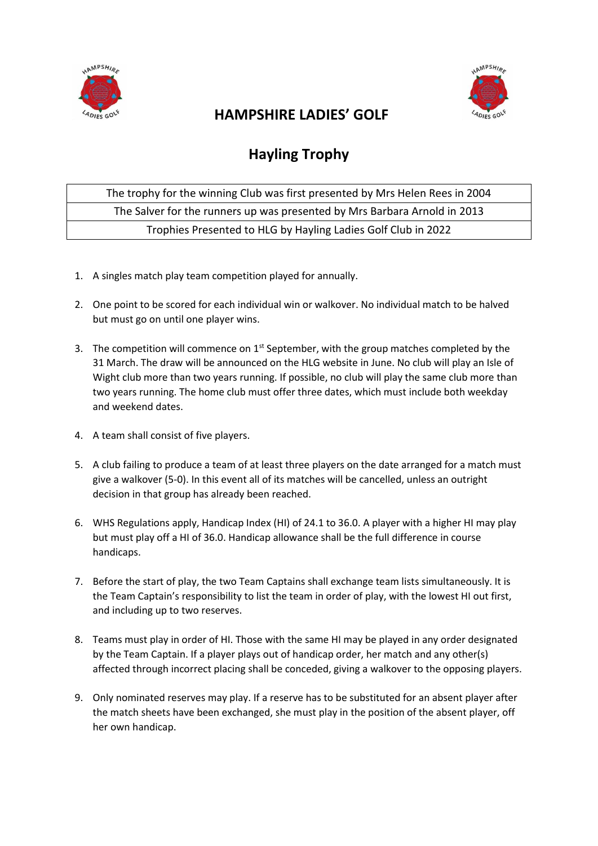



## **HAMPSHIRE LADIES' GOLF**

## **Hayling Trophy**

The trophy for the winning Club was first presented by Mrs Helen Rees in 2004 The Salver for the runners up was presented by Mrs Barbara Arnold in 2013 Trophies Presented to HLG by Hayling Ladies Golf Club in 2022

- 1. A singles match play team competition played for annually.
- 2. One point to be scored for each individual win or walkover. No individual match to be halved but must go on until one player wins.
- 3. The competition will commence on  $1^{st}$  September, with the group matches completed by the 31 March. The draw will be announced on the HLG website in June. No club will play an Isle of Wight club more than two years running. If possible, no club will play the same club more than two years running. The home club must offer three dates, which must include both weekday and weekend dates.
- 4. A team shall consist of five players.
- 5. A club failing to produce a team of at least three players on the date arranged for a match must give a walkover (5-0). In this event all of its matches will be cancelled, unless an outright decision in that group has already been reached.
- 6. WHS Regulations apply, Handicap Index (HI) of 24.1 to 36.0. A player with a higher HI may play but must play off a HI of 36.0. Handicap allowance shall be the full difference in course handicaps.
- 7. Before the start of play, the two Team Captains shall exchange team lists simultaneously. It is the Team Captain's responsibility to list the team in order of play, with the lowest HI out first, and including up to two reserves.
- 8. Teams must play in order of HI. Those with the same HI may be played in any order designated by the Team Captain. If a player plays out of handicap order, her match and any other(s) affected through incorrect placing shall be conceded, giving a walkover to the opposing players.
- 9. Only nominated reserves may play. If a reserve has to be substituted for an absent player after the match sheets have been exchanged, she must play in the position of the absent player, off her own handicap.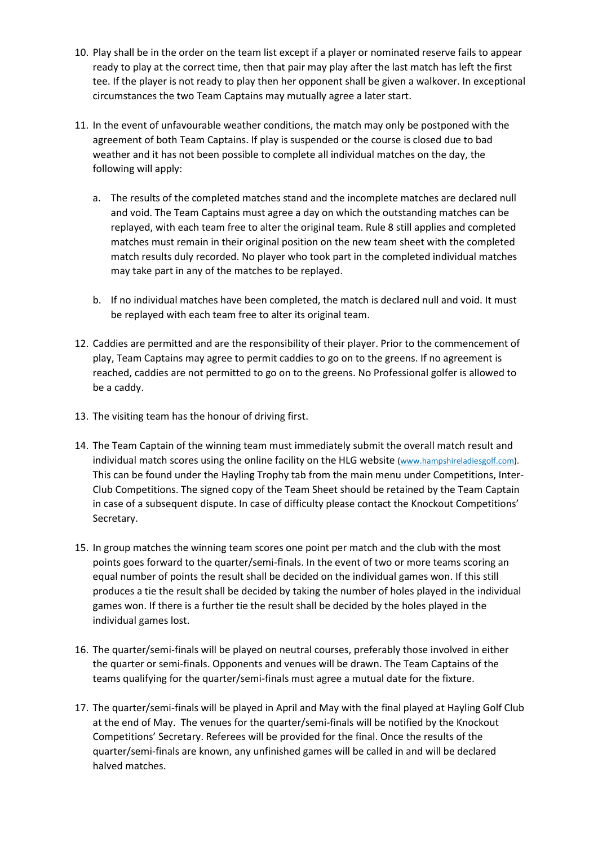- 10. Play shall be in the order on the team list except if a player or nominated reserve fails to appear ready to play at the correct time, then that pair may play after the last match has left the first tee. If the player is not ready to play then her opponent shall be given a walkover. In exceptional circumstances the two Team Captains may mutually agree a later start.
- 11. In the event of unfavourable weather conditions, the match may only be postponed with the agreement of both Team Captains. If play is suspended or the course is closed due to bad weather and it has not been possible to complete all individual matches on the day, the following will apply:
	- a. The results of the completed matches stand and the incomplete matches are declared null and void. The Team Captains must agree a day on which the outstanding matches can be replayed, with each team free to alter the original team. Rule 8 still applies and completed matches must remain in their original position on the new team sheet with the completed match results duly recorded. No player who took part in the completed individual matches may take part in any of the matches to be replayed.
	- b. If no individual matches have been completed, the match is declared null and void. It must be replayed with each team free to alter its original team.
- 12. Caddies are permitted and are the responsibility of their player. Prior to the commencement of play, Team Captains may agree to permit caddies to go on to the greens. If no agreement is reached, caddies are not permitted to go on to the greens. No Professional golfer is allowed to be a caddy.
- 13. The visiting team has the honour of driving first.
- 14. The Team Captain of the winning team must immediately submit the overall match result and individual match scores using the online facility on the HLG website (www.hampshireladiesgolf.com). This can be found under the Hayling Trophy tab from the main menu under Competitions, Inter-Club Competitions. The signed copy of the Team Sheet should be retained by the Team Captain in case of a subsequent dispute. In case of difficulty please contact the Knockout Competitions' Secretary.
- 15. In group matches the winning team scores one point per match and the club with the most points goes forward to the quarter/semi-finals. In the event of two or more teams scoring an equal number of points the result shall be decided on the individual games won. If this still produces a tie the result shall be decided by taking the number of holes played in the individual games won. If there is a further tie the result shall be decided by the holes played in the individual games lost.
- 16. The quarter/semi-finals will be played on neutral courses, preferably those involved in either the quarter or semi-finals. Opponents and venues will be drawn. The Team Captains of the teams qualifying for the quarter/semi-finals must agree a mutual date for the fixture.
- 17. The quarter/semi-finals will be played in April and May with the final played at Hayling Golf Club at the end of May. The venues for the quarter/semi-finals will be notified by the Knockout Competitions' Secretary. Referees will be provided for the final. Once the results of the quarter/semi-finals are known, any unfinished games will be called in and will be declared halved matches.